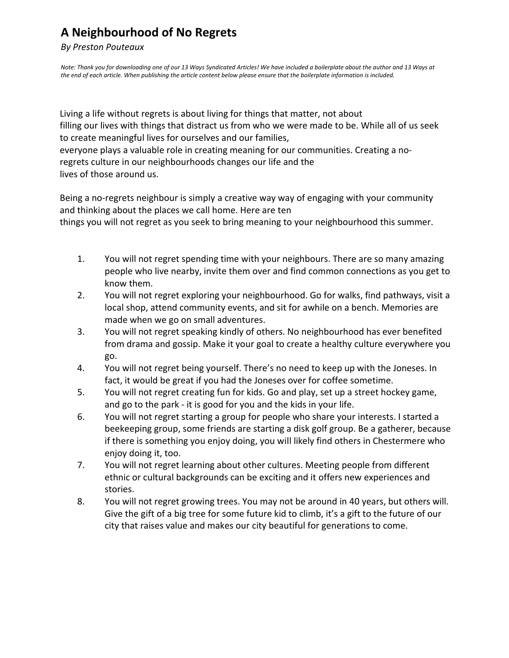## **A Neighbourhood of No Regrets**

## *By Preston Pouteaux*

*Note: Thank you for downloading one of our 13 Ways Syndicated Articles! We have included a boilerplate about the author and 13 Ways at the end of each article. When publishing the article content below please ensure that the boilerplate information is included.*

 Living a life without regrets is about living for things that matter, not about filling our lives with things that distract us from who we were made to be. While all of us seek to create meaningful lives for ourselves and our families, everyone plays a valuable role in creating meaning for our communities. Creating a noregrets culture in our neighbourhoods changes our life and the lives of those around us.

 Being a no-regrets neighbour is simply a creative way way of engaging with your community things you will not regret as you seek to bring meaning to your neighbourhood this summer. and thinking about the places we call home. Here are ten

- 1. You will not regret spending time with your neighbours. There are so many amazing people who live nearby, invite them over and find common connections as you get to know them.
- 2. You will not regret exploring your neighbourhood. Go for walks, find pathways, visit a local shop, attend community events, and sit for awhile on a bench. Memories are made when we go on small adventures.
- 3. You will not regret speaking kindly of others. No neighbourhood has ever benefited from drama and gossip. Make it your goal to create a healthy culture everywhere you go.
- 4. You will not regret being yourself. There's no need to keep up with the Joneses. In fact, it would be great if you had the Joneses over for coffee sometime.
- 5. You will not regret creating fun for kids. Go and play, set up a street hockey game, and go to the park - it is good for you and the kids in your life.
- 6. You will not regret starting a group for people who share your interests. I started a beekeeping group, some friends are starting a disk golf group. Be a gatherer, because if there is something you enjoy doing, you will likely find others in Chestermere who enjoy doing it, too.
- 7. You will not regret learning about other cultures. Meeting people from different ethnic or cultural backgrounds can be exciting and it offers new experiences and stories.
- 8. You will not regret growing trees. You may not be around in 40 years, but others will. Give the gift of a big tree for some future kid to climb, it's a gift to the future of our city that raises value and makes our city beautiful for generations to come.